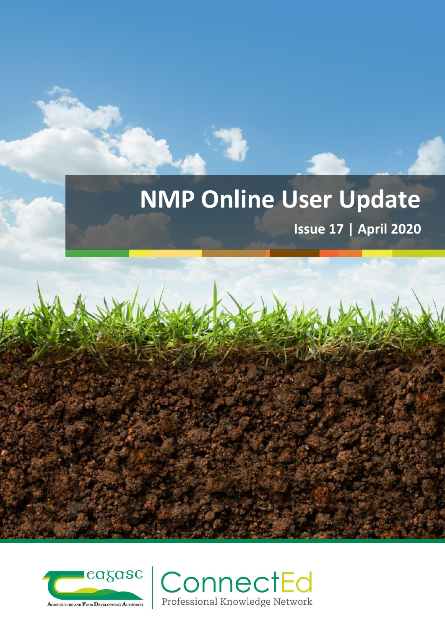# **NMP Online User Update**

**Issue 17 | April 2020**



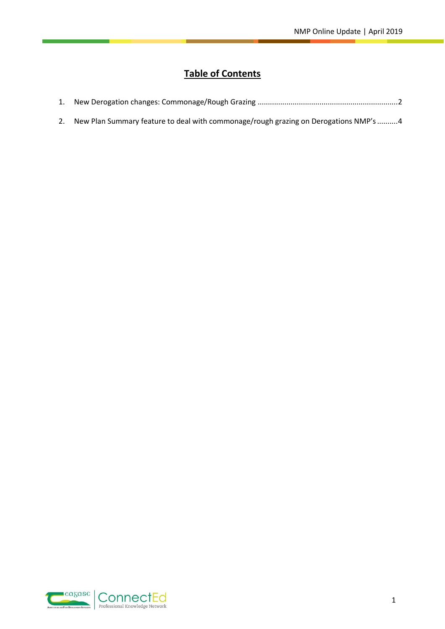# **Table of Contents**

|--|--|--|--|

2. [New Plan Summary feature to deal with commonage/rough grazing on Derogations NMP's](#page-4-0) ..........4

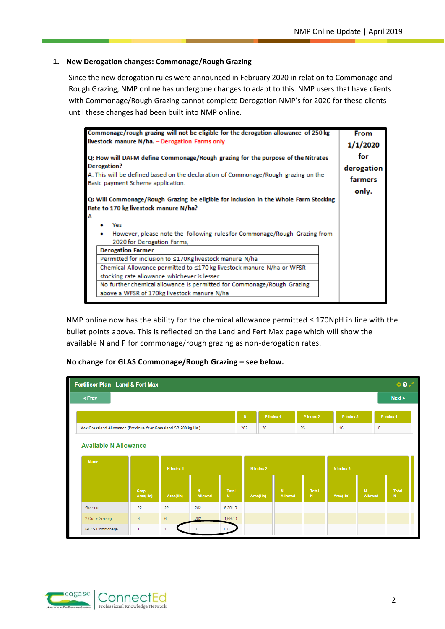# <span id="page-2-0"></span>**1. New Derogation changes: Commonage/Rough Grazing**

Since the new derogation rules were announced in February 2020 in relation to Commonage and Rough Grazing, NMP online has undergone changes to adapt to this. NMP users that have clients with Commonage/Rough Grazing cannot complete Derogation NMP's for 2020 for these clients until these changes had been built into NMP online.

| Commonage/rough grazing will not be eligible for the derogation allowance of 250 kg                                     | <b>From</b> |
|-------------------------------------------------------------------------------------------------------------------------|-------------|
| livestock manure N/ha. - Derogation Farms only                                                                          | 1/1/2020    |
| Q: How will DAFM define Commonage/Rough grazing for the purpose of the Nitrates                                         | for         |
| Derogation?                                                                                                             | derogation  |
| A: This will be defined based on the declaration of Commonage/Rough grazing on the<br>Basic payment Scheme application. | farmers     |
|                                                                                                                         | only.       |
| Q: Will Commonage/Rough Grazing be eligible for inclusion in the Whole Farm Stocking                                    |             |
| Rate to 170 kg livestock manure N/ha?                                                                                   |             |
| А                                                                                                                       |             |
| Yes                                                                                                                     |             |
| However, please note the following rules for Commonage/Rough Grazing from                                               |             |
| 2020 for Derogation Farms.                                                                                              |             |
| <b>Derogation Farmer</b>                                                                                                |             |
| Permitted for inclusion to ≤170Kg livestock manure N/ha                                                                 |             |
| Chemical Allowance permitted to ≤170 kg livestock manure N/ha or WFSR                                                   |             |
| stocking rate allowance whichever is lesser.                                                                            |             |
| No further chemical allowance is permitted for Commonage/Rough Grazing                                                  |             |
| above a WFSR of 170kg livestock manure N/ha                                                                             |             |
|                                                                                                                         |             |

NMP online now has the ability for the chemical allowance permitted ≤ 170NpH in line with the bullet points above. This is reflected on the Land and Fert Max page which will show the available N and P for commonage/rough grazing as non-derogation rates.

| <b>02</b><br><b>Fertiliser Plan - Land &amp; Fert Max</b>      |                                           |          |                                |                             |     |           |                                |                    |           |                         |         |                             |  |
|----------------------------------------------------------------|-------------------------------------------|----------|--------------------------------|-----------------------------|-----|-----------|--------------------------------|--------------------|-----------|-------------------------|---------|-----------------------------|--|
| < Prev                                                         |                                           |          |                                |                             |     |           |                                |                    |           |                         |         | Next >                      |  |
|                                                                |                                           |          | N                              | P Index 1                   |     | P Index 2 | P Index 3                      |                    |           | P Index 4               |         |                             |  |
| Max Grassland Allowance (Previous Year Grassland SR:200 kg/Ha) |                                           |          |                                |                             | 282 | 36        |                                | 26                 | 16        |                         | $\circ$ |                             |  |
| <b>Name</b>                                                    | <b>Available N Allowance</b><br>N Index 1 |          |                                |                             |     |           |                                |                    | N Index 3 |                         |         |                             |  |
|                                                                | Crop<br>Area(Ha)                          | Area(Ha) | $\mathbf{N}$<br><b>Allowed</b> | <b>Total</b><br>$\mathbf N$ |     | Area(Ha)  | $\mathbf{N}$<br><b>Allowed</b> | <b>Total</b><br>N. | Area(Ha)  | $\mathbf{N}$<br>Allowed |         | <b>Total</b><br>$\mathbf N$ |  |
| Grazing                                                        | 22                                        | 22       | 282                            | 6,204.0                     |     |           |                                |                    |           |                         |         |                             |  |
| 2 Cut + Grazing                                                | $6\phantom{a}$                            | 6        | 282                            | 1,692.0                     |     |           |                                |                    |           |                         |         |                             |  |
| GLAS Commonage                                                 |                                           |          | $\mathbf{O}$                   | 0.0                         |     |           |                                |                    |           |                         |         |                             |  |

#### **No change for GLAS Commonage/Rough Grazing – see below.**

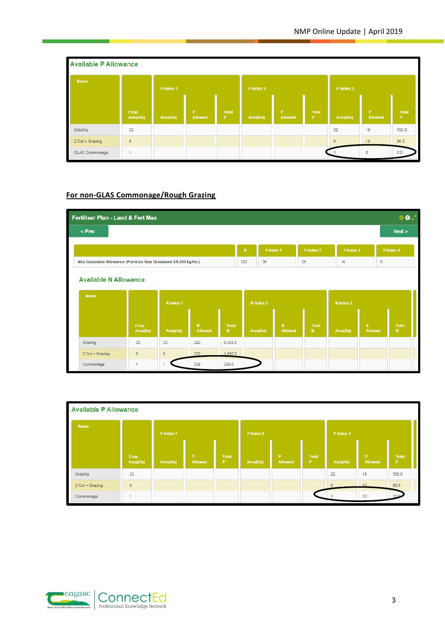| <b>Available P Allowance</b> |                  |           |               |                   |           |                                |                    |           |               |                    |
|------------------------------|------------------|-----------|---------------|-------------------|-----------|--------------------------------|--------------------|-----------|---------------|--------------------|
| <b>Name</b>                  |                  | P Index 1 |               |                   | P Index 2 |                                |                    | P Index 3 |               |                    |
|                              | Crop<br>Area(Ha) | Area(Ha)  | P.<br>Allowed | <b>Total</b><br>P | Area(Ha)  | $\mathbf{P}$<br><b>Allowed</b> | <b>Total</b><br>P. | Area(Ha)  | P.<br>Allowed | <b>Total</b><br>P. |
| Grazing                      | 22               |           |               |                   |           |                                |                    | 22        | 16            | 352.0              |
| 2 Cut + Grazing              | 6                |           |               |                   |           |                                |                    | 6         | 16            | 96.0               |
| GLAS Commonage               | 1                |           |               |                   |           |                                |                    |           | $\circ$       | 0.0                |

# **For non-GLAS Commonage/Rough Grazing**



| <b>Available P Allowance</b> |                  |           |                     |                    |           |               |                       |           |                      |                    |
|------------------------------|------------------|-----------|---------------------|--------------------|-----------|---------------|-----------------------|-----------|----------------------|--------------------|
| <b>Name</b>                  |                  | P Index 1 |                     |                    | P Index 2 |               |                       | P Index 3 |                      |                    |
|                              | Crop<br>Area(Ha) | Area(Ha)  | P<br><b>Allowed</b> | <b>Total</b><br>P. | Area(Ha)  | P.<br>Allowed | Total<br>$\mathbf{P}$ | Area(Ha)  | P.<br><b>Allowed</b> | <b>Total</b><br>P. |
| Grazing                      | 22               |           |                     |                    |           |               |                       | 22        | 16                   | 352.0              |
| 2 Cut + Grazing              | 6                |           |                     |                    |           |               |                       | 6         | 16 <sub>1</sub>      | 96.0               |
| Commonage                    |                  |           |                     |                    |           |               |                       |           | 13                   |                    |